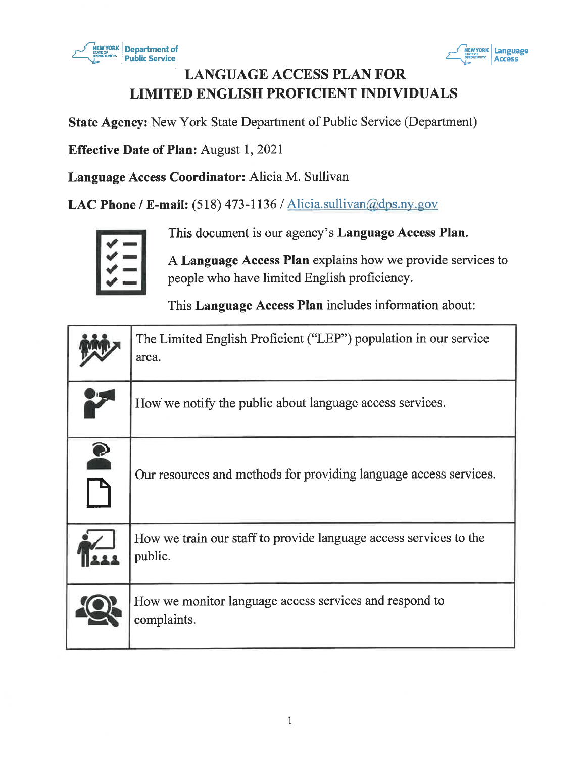



# LANGUAGE ACCESS PLAN FOR LIMITED ENGLISH PROFICIENT INDIVIDUALS

State Agency: New York State Department of Public Service (Department)

Effective Date of Plan: August 1, 2021

Language Access Coordinator: Alicia M. Sullivan

LAC Phone / E-mail: (518) 473-1136 / Alicia.sullivan@dps.ny.gov



This document is our agency's Language Access Plan.

A Language Access Plan explains how we provide services to people who have limited English proficiency.

This Language Access Plan includes information about:

|   | The Limited English Proficient ("LEP") population in our service<br>area.    |
|---|------------------------------------------------------------------------------|
|   | How we notify the public about language access services.                     |
| P | Our resources and methods for providing language access services.            |
|   | How we train our staff to provide language access services to the<br>public. |
|   | How we monitor language access services and respond to<br>complaints.        |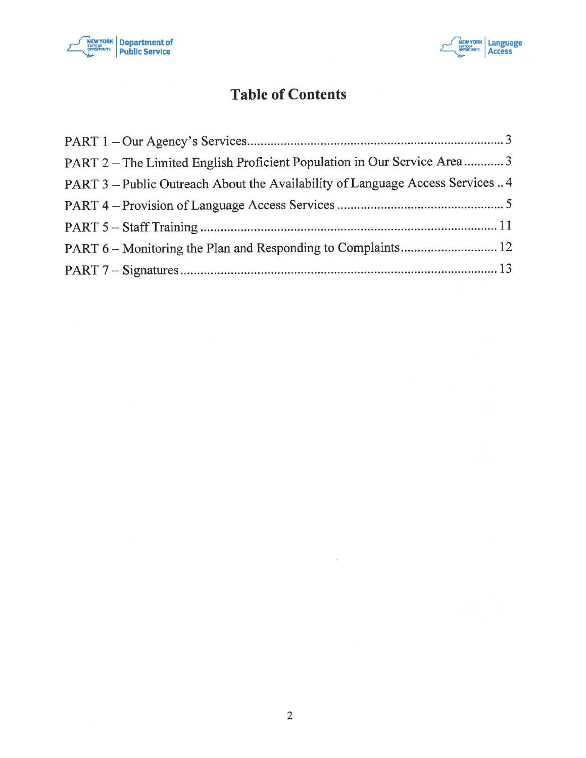



# Table of Contents

| PART 2 – The Limited English Proficient Population in Our Service Area 3       |  |
|--------------------------------------------------------------------------------|--|
| PART 3 - Public Outreach About the Availability of Language Access Services  4 |  |
|                                                                                |  |
|                                                                                |  |
|                                                                                |  |
|                                                                                |  |

 $\bar{z}$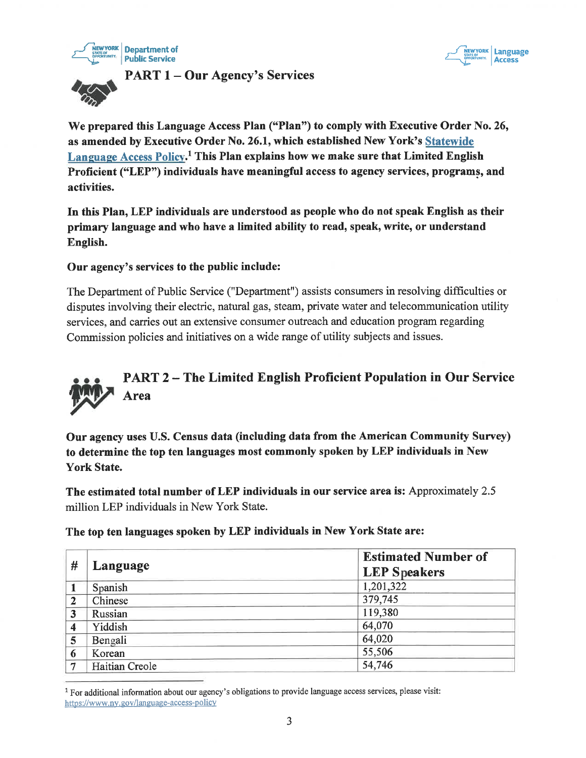





We prepared this Language Access Plan ("Plan") to comply with Executive Order No. 26, as amended by Executive Order No. 26.1, which established New York's Statewide Language Access Policy.<sup>1</sup> This Plan explains how we make sure that Limited English Proficient ("LEP") individuals have meaningful access to agency services, programs, and activities.

In this Plan, LEP individuals are understood as people who do not speak English as their primary language and who have a limited ability to read, speak, write, or understand English.

Our agency's services to the public include:

The Department of Public Service ("Department") assists consumers in resolving difficulties or disputes involving their electric, natural gas, steam, private water and telecommunication utility services, and carries out an extensive consumer outreach and education program regarding Commission policies and initiatives on a wide range of utility subjects and issues.



PART 2 - The Limited English Proficient Population in Our Service Area

Our agency uses U.S. Census data (including data from the American Community Survey) to determine the top ten languages most commonly spoken by LEP individuals in New York State.

The estimated total number of LEP individuals in our service area is: Approximately 2.5 million LEP individuals in New York State.

The top ten languages spoken by LEP individuals in New York State are:

| # |                | <b>Estimated Number of</b> |
|---|----------------|----------------------------|
|   | Language       | <b>LEP</b> Speakers        |
|   | Spanish        | 1,201,322                  |
|   | Chinese        | 379,745                    |
| 3 | Russian        | 119,380                    |
| 4 | Yiddish        | 64,070                     |
| 5 | Bengali        | 64,020                     |
| 6 | Korean         | 55,506                     |
| ⇁ | Haitian Creole | 54,746                     |

<sup>1</sup> For additional information about our agency's obligations to provide language access services, please visit: https://www.ny.gov/language-access-policy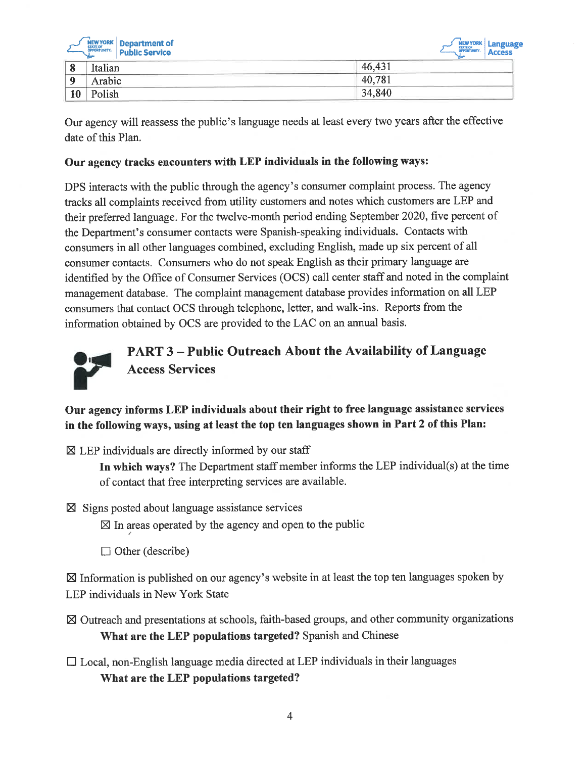|    | <b>NEW YORK</b><br>STATE OF<br>OPPORTUNITY.<br><b>Department of</b><br><b>Public Service</b> | <b>NEW YORK</b><br>Language<br>Access<br>STATE OF OPPORTUNITY. |
|----|----------------------------------------------------------------------------------------------|----------------------------------------------------------------|
| 8  | Italian                                                                                      | 46,431                                                         |
| O  | Arabic                                                                                       | 40,781                                                         |
| 10 | Polish                                                                                       | 34,840                                                         |

Our agency will reassess the public's language needs at least every two years after the effective date of this Plan.

#### Our agency tracks encounters with LEP individuals in the following ways:

DPS interacts with the public through the agency's consumer complaint process. The agency tracks all complaints received from utility customers and notes which customers are LEP and their preferred language. For the twelve-month period ending September 2020, five percent of the Department's consumer contacts were Spanish-speaking individuals. Contacts with consumers in all other languages combined, excluding English, made up six percent of all consumer contacts. Consumers who do not speak English as their primary language are identified by the Office of Consumer Services (OCS) call center staff and noted in the complaint management database. The complaint management database provides information on all LEP consumers that contact OCS through telephone, letter, and walk-ins. Reports from the information obtained by OCS are provided to the LAC on an annual basis.



# PART 3 - Public Outreach About the Availability of Language Access Services

Our agency informs LEP individuals about their right to free language assistance services in the following ways, using at least the top ten languages shown in Part 2 of this Plan:

 $\boxtimes$  LEP individuals are directly informed by our staff

In which ways? The Department staff member informs the LEP individual(s) at the time of contact that free interpreting services are available.

Signs posted about language assistance services

In areas operated by the agency and open to the public /

 $\Box$  Other (describe)

 $\boxtimes$  Information is published on our agency's website in at least the top ten languages spoken by LEP individuals in New York State

 $\boxtimes$  Outreach and presentations at schools, faith-based groups, and other community organizations What are the LEP populations targeted? Spanish and Chinese

D Local, non-English language media directed at LEP individuals in their languages What are the LEP populations targeted?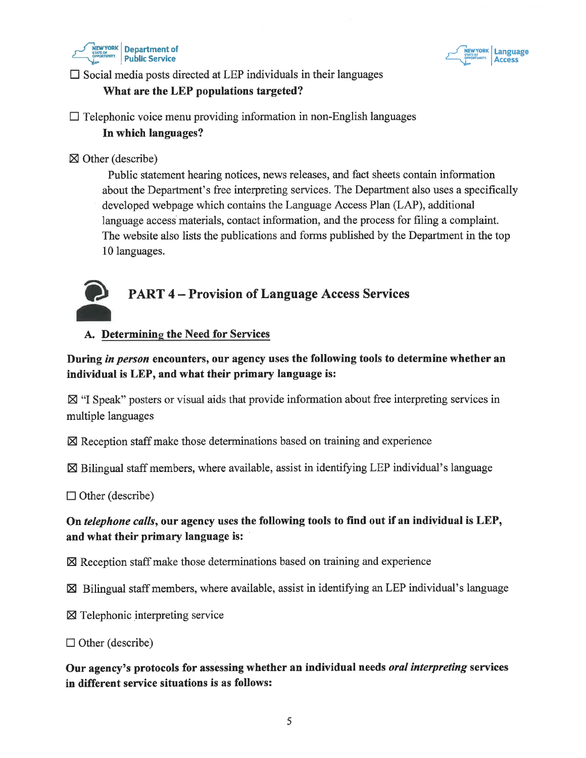



 $\square$  Social media posts directed at LEP individuals in their languages

#### What are the LEP populations targeted?

- $\Box$  Telephonic voice menu providing information in non-English languages In which languages?
- $\boxtimes$  Other (describe)

Public statement hearing notices, news releases, and fact sheets contain infonnation about the Department's free interpreting services. The Department also uses a specifically developed webpage which contains the Language Access Plan (LAP), additional language access materials, contact information, and the process for filing a complaint. The website also lists the publications and forms published by the Department in the top 10 languages.



#### A. Determining the Need for Services

### During in person encounters, our agency uses the following tools to determine whether an individual is LEP, and what their primary language is:

 $\boxtimes$  "I Speak" posters or visual aids that provide information about free interpreting services in multiple languages

 $\boxtimes$  Reception staff make those determinations based on training and experience

 $\boxtimes$  Bilingual staff members, where available, assist in identifying LEP individual's language

 $\Box$  Other (describe)

# On telephone calls, our agency uses the following tools to find out if an individual is LEP, and what their primary language is:

 $\boxtimes$  Reception staff make those determinations based on training and experience

 $\boxtimes$  Bilingual staff members, where available, assist in identifying an LEP individual's language

 $\boxtimes$  Telephonic interpreting service

 $\Box$  Other (describe)

# Our agency's protocols for assessing whether an individual needs oral interpreting services in different service situations is as follows: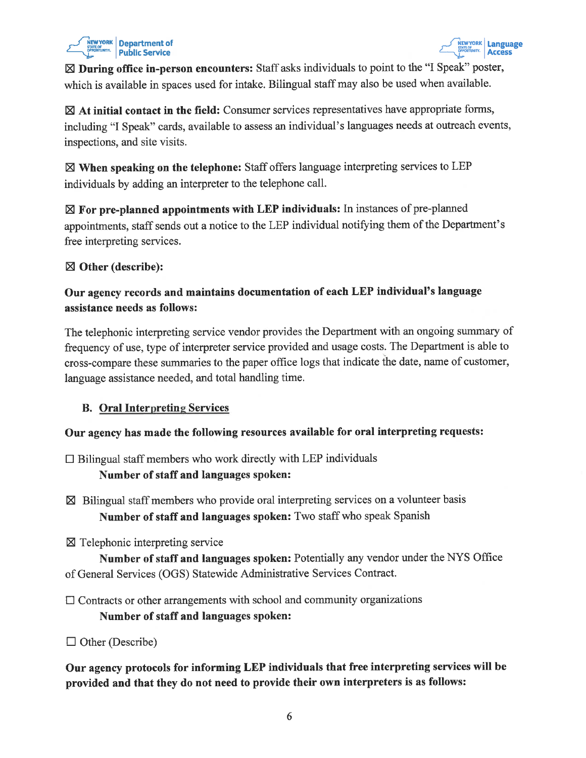



 $\boxtimes$  During office in-person encounters: Staff asks individuals to point to the "I Speak" poster, which is available in spaces used for intake. Bilingual staff may also be used when available.

 $\boxtimes$  At initial contact in the field: Consumer services representatives have appropriate forms, including "I Speak" cards, available to assess an individual's languages needs at outreach events, inspections, and site visits.

 $\boxtimes$  When speaking on the telephone: Staff offers language interpreting services to LEP individuals by adding an interpreter to the telephone call.

 $\boxtimes$  For pre-planned appointments with LEP individuals: In instances of pre-planned appointments, staff sends out a notice to the LEP individual notifying them of the Department's free interpreting services.

#### $\boxtimes$  Other (describe):

# Our agency records and maintains documentation of each LEP individual's language assistance needs as follows:

The telephonic interpreting service vendor provides the Department with an ongoing summary of frequency of use, type of interpreter service provided and usage costs. The Department is able to cross-compare these summaries to the paper office logs that indicate the date, name of customer, language assistance needed, and total handling time.

#### **B.** Oral Interpreting Services

#### Our agency has made the following resources available for oral interpreting requests:

 $\square$  Bilingual staff members who work directly with LEP individuals

#### Number of staff and languages spoken:

- $\boxtimes$  Bilingual staff members who provide oral interpreting services on a volunteer basis Number of staff and languages spoken: Two staff who speak Spanish
- $\boxtimes$  Telephonic interpreting service

Number of staff and languages spoken: Potentially any vendor under the NYS Office of General Services (OGS) Statewide Administrative Services Contract.

 $\Box$  Contracts or other arrangements with school and community organizations Number of staff and languages spoken:

 $\Box$  Other (Describe)

# Our agency protocols for informing LEP individuals that free interpreting services will be provided and that they do not need to provide their own interpreters is as follows: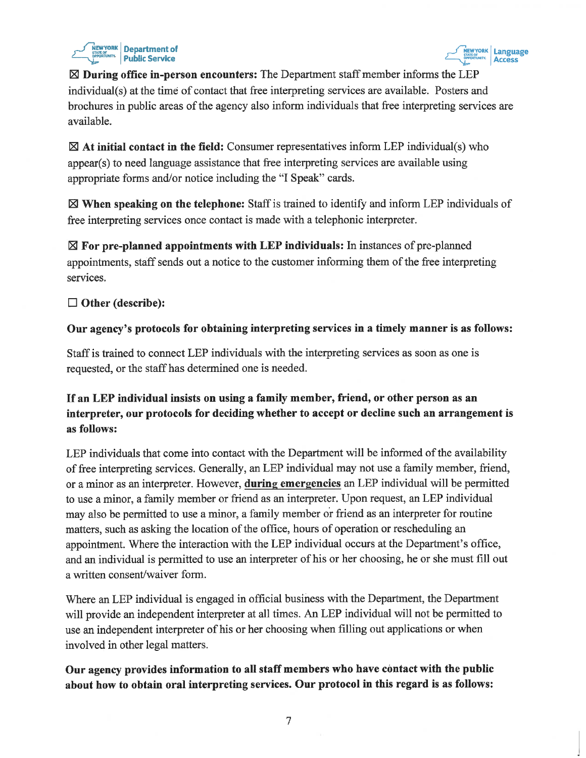



 $\boxtimes$  During office in-person encounters: The Department staff member informs the LEP individual(s) at the time of contact that free interpreting services are available. Posters and brochures in public areas of the agency also inform individuals that free interpreting services are available.

 $\boxtimes$  At initial contact in the field: Consumer representatives inform LEP individual(s) who appear(s) to need language assistance that free interpreting services are available using appropriate forms and/or notice including the "I Speak" cards.

 $\boxtimes$  When speaking on the telephone: Staff is trained to identify and inform LEP individuals of free interpreting services once contact is made with a telephonic interpreter.

 $\boxtimes$  For pre-planned appointments with LEP individuals: In instances of pre-planned appointments, staff sends out a notice to the customer informing them of the free interpreting services.

#### $\Box$  Other (describe):

#### Our agency's protocols for obtaining interpreting services in a timely manner is as follows:

Staff is trained to connect LEP individuals with the interpreting services as soon as one is requested, or the staff has determined one is needed.

# If an LEP individual insists on using a family member, friend, or other person as an interpreter, our protocols for deciding whether to accept or decline such an arrangement is as follows:

LEP individuals that come into contact with the Department will be informed of the availability of free interpreting services. Generally, an LEP individual may not use a family member, friend, or a minor as an interpreter. However, **during emergencies** an LEP individual will be permitted to use a minor, a family member or friend as an interpreter. Upon request, an LEP individual may also be permitted to use a minor, a family member or friend as an interpreter for routine matters, such as asking the location of the office, hours of operation or rescheduling an appointment. Where the interaction with the LEP individual occurs at the Department's office, and an individual is permitted to use an interpreter of his or her choosing, he or she must fill out a written consent/waiver form.

Where an LEP individual is engaged in official business with the Department, the Department will provide an independent interpreter at all times. An LEP individual will not be permitted to use an independent interpreter of his or her choosing when filling out applications or when involved in other legal matters.

# Our agency provides information to all staff members who have contact with the public about how to obtain oral interpreting services. Our protocol in this regard is as follows: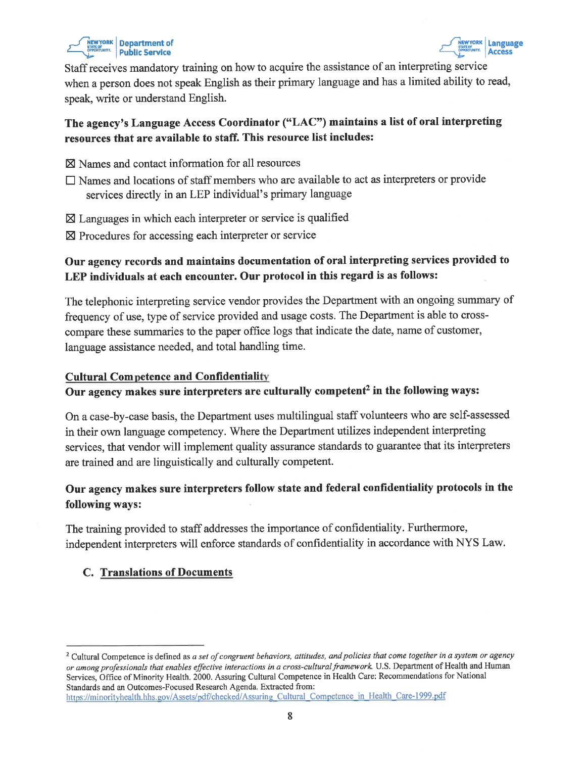



Staff receives mandatory training on how to acquire the assistance of an interpreting service when a person does not speak English as their primary language and has a limited ability to read, speak, write or understand English.

### The agency's Language Access Coordinator ("LAC") maintains a list of oral interpreting resources that are available to staff. This resource list includes:

- Names and contact information for all resources
- $\Box$  Names and locations of staff members who are available to act as interpreters or provide services directly in an LEP individual's primary language
- Languages in which each interpreter or service is qualified
- ⊠ Procedures for accessing each interpreter or service

# Our agency records and maintains documentation of oral interpreting services provided to LEP individuals at each encounter. Our protocol in this regard is as follows:

The telephonic interpreting service vendor provides the Department with an ongoing summary of frequency of use, type of service provided and usage costs. The Department is able to crosscompare these summaries to the paper office logs that indicate the date, name of customer, language assistance needed, and total handling time.

#### Cultural Competence and Confidentiality

#### Our agency makes sure interpreters are culturally competent<sup>2</sup> in the following ways:

On a case-by-case basis, the Department uses multilingual staff volunteers who are self-assessed in their own language competency. Where the Department utilizes independent interpreting services, that vendor will implement quality assurance standards to guarantee that its interpreters are trained and are linguistically and culturally competent.

# Our agency makes sure interpreters follow state and federal confidentiality protocols in the following ways:

The training provided to staff addresses the importance of confidentiality. Furthermore, independent interpreters will enforce standards of confidentiality in accordance with NYS Law.

#### C. Translations of Documents

<sup>2</sup> Cultural Competence is defined as a set of congruent behaviors, attitudes, and policies that come together in a system or agency or among professionals that enables effective interactions in a cross-cultural framework. U.S. Department of Health and Human Services, Office of Minority Health. 2000. Assuring Cultural Competence in Health Care: Recommendations for National Standards and an Outcomes-Focused Research Agenda. Extracted from: https://minorityhealth.hhs.gov/Assets/pdf/checked/Assuring Cultural Competence in Health Care-1999.pdf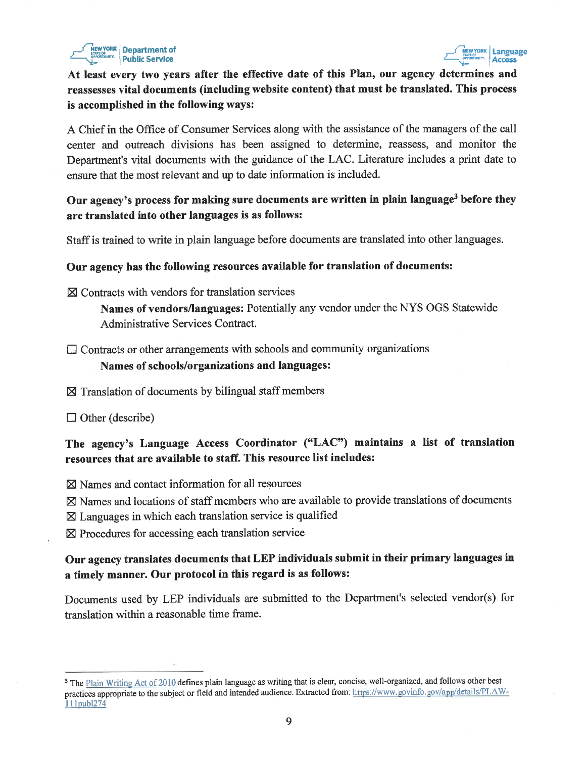



# At least every two years after the effective date of this Plan, our agency determines and reassesses vital documents (including website content) that must be translated. This process is accomplished in the following ways:

A Chief in the Office of Consumer Services along with the assistance of the managers of the call center and outreach divisions has been assigned to determine, reassess, and monitor the Department's vital documents with the guidance of the LAC. Literature includes a print date to ensure that the most relevant and up to date information is included.

#### Our agency's process for making sure documents are written in plain language<sup>3</sup> before they are translated into other languages is as follows:

Staff is trained to write in plain language before documents are translated into other languages.

#### Our agency has the following resources available for translation of documents:

 $\boxtimes$  Contracts with vendors for translation services

Names of vendors/languages: Potentially any vendor under the NYS OGS Statewide Administrative Services Contract.

 $\Box$  Contracts or other arrangements with schools and community organizations

# Names of schools/organizations and languages:

- $\boxtimes$  Translation of documents by bilingual staff members
- $\Box$  Other (describe)

# The agency's Language Access Coordinator ("LAC") maintains a list of translation resources that are available to staff. This resource list includes:

Names and contact information for all resources

- $\boxtimes$  Names and locations of staff members who are available to provide translations of documents
- $\boxtimes$  Languages in which each translation service is qualified
- $\boxtimes$  Procedures for accessing each translation service

# Our agency translates documents that LEP individuals submit in their primary languages in a timely manner. Our protocol in this regard is as follows:

Documents used by LEP individuals are submitted to the Department's selected vendor(s) for translation within a reasonable time frame.

<sup>&</sup>lt;sup>3</sup> The Plain Writing Act of 2010 defines plain language as writing that is clear, concise, well-organized, and follows other best practices appropriate to the subject or field and intended audience. Extracted from: https://www.govinfo.gov/app/details/PLAWllloubl274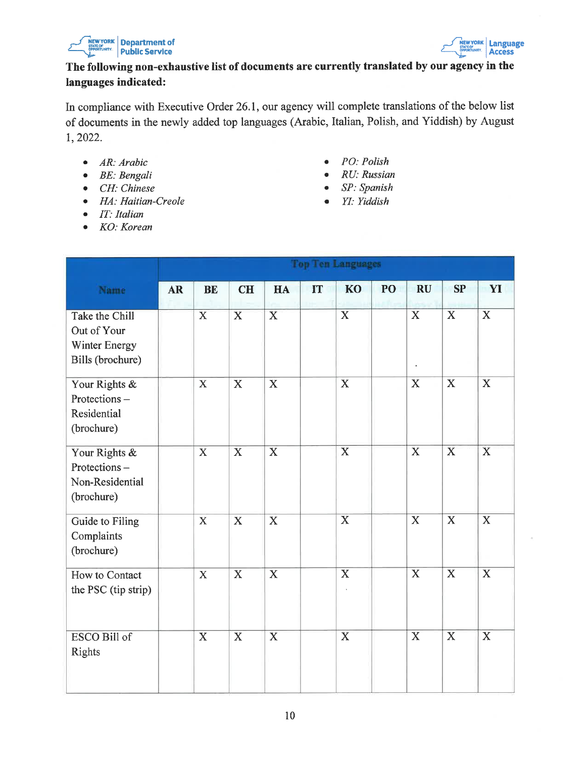



# The following non-exhaustive list of documents are currently translated by our agency in the languages indicated:

In compliance with Executive Order 26.1, our agency will complete translations of the below list of documents in the newly added top languages (Arabic, Italian, Polish, and Yiddish) by August 1, 2022.

- AR: Arabic
- . BE: Bengali
- . CH: Chinese
- . HA: Haitian-Creole
- . IT: Italian
- . KO: Korean
- PO: Polish  $\bullet$
- RU: Russian
- SP: Spanish  $\bullet$
- YI: Yiddish  $\bullet$

|                                                                    | <b>Top Ten Languages</b> |             |                         |                         |    |                         |    |                                   |             |             |  |
|--------------------------------------------------------------------|--------------------------|-------------|-------------------------|-------------------------|----|-------------------------|----|-----------------------------------|-------------|-------------|--|
| Name                                                               | <b>AR</b>                | <b>BE</b>   | <b>CH</b>               | HA                      | IT | <b>KO</b>               | PO | <b>RU</b>                         | <b>SP</b>   | YI          |  |
| Take the Chill<br>Out of Your<br>Winter Energy<br>Bills (brochure) |                          | $\mathbf X$ | $\mathbf X$             | $\overline{\mathbf{X}}$ |    | $\mathbf X$             |    | $\mathbf X$<br>$\hat{\mathbf{r}}$ | $\mathbf X$ | $\mathbf X$ |  |
| Your Rights &<br>Protections-<br>Residential<br>(brochure)         |                          | $\mathbf X$ | $\mathbf X$             | $\mathbf X$             |    | $\mathbf X$             |    | X                                 | $\mathbf X$ | X           |  |
| Your Rights &<br>Protections-<br>Non-Residential<br>(brochure)     |                          | $\mathbf X$ | $\mathbf X$             | $\mathbf X$             |    | X                       |    | $\mathbf X$                       | $\mathbf X$ | $\mathbf X$ |  |
| Guide to Filing<br>Complaints<br>(brochure)                        |                          | $\mathbf X$ | $\mathbf X$             | $\mathbf X$             |    | $\mathbf X$             |    | $\mathbf X$                       | $\mathbf X$ | $\mathbf X$ |  |
| How to Contact<br>the PSC (tip strip)                              |                          | $\mathbf X$ | X                       | $\mathbf X$             |    | X                       |    | X                                 | X           | X           |  |
| ESCO Bill of<br>Rights                                             |                          | X           | $\overline{\mathbf{X}}$ | $\overline{\mathbf{X}}$ |    | $\overline{\mathbf{X}}$ |    | $\overline{\mathbf{X}}$           | $\mathbf X$ | $\mathbf X$ |  |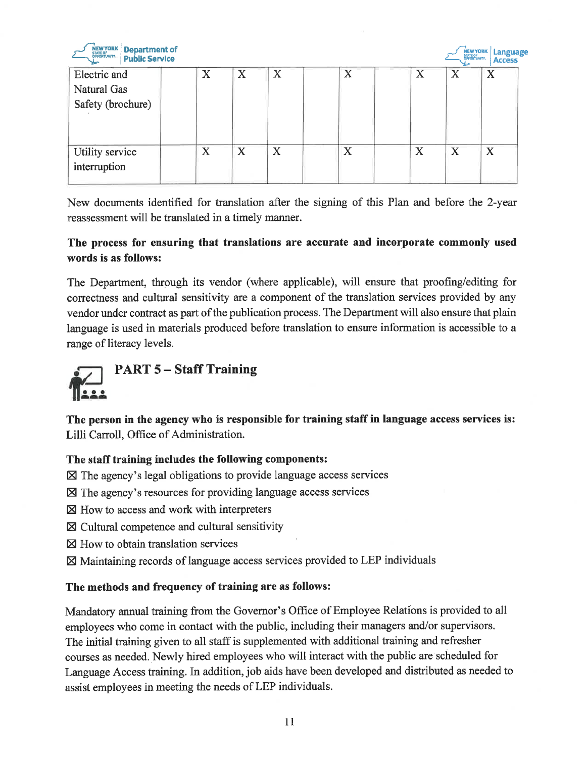| NEW YORK<br><b>Department of</b><br><b>Public Service</b> |   |             |   |                |   | <b>NEW YORK</b><br>STATE OF<br>OPPORTUNITY. | <b>Language</b><br><b>Access</b> |  |
|-----------------------------------------------------------|---|-------------|---|----------------|---|---------------------------------------------|----------------------------------|--|
| Electric and                                              | X | $\mathbf X$ | X | $\overline{X}$ | X | X                                           | X                                |  |
| Natural Gas                                               |   |             |   |                |   |                                             |                                  |  |
| Safety (brochure)                                         |   |             |   |                |   |                                             |                                  |  |
|                                                           |   |             |   |                |   |                                             |                                  |  |
|                                                           |   |             |   |                |   |                                             |                                  |  |
| Utility service                                           | X | X           | X | $\mathbf X$    | X | $\boldsymbol{X}$                            | X                                |  |
| interruption                                              |   |             |   |                |   |                                             |                                  |  |
|                                                           |   |             |   |                |   |                                             |                                  |  |

New documents identified for translation after the signing of this Plan and before the 2-year reassessment will be translated in a timely manner.

### The process for ensuring that translations are accurate and incorporate commonly used words is as follows:

The Department, through its vendor (where applicable), will ensure that proofing/editing for correctness and cultural sensitivity are a component of the translation services provided by any vendor under contract as part of the publication process. The Department will also ensure that plain language is used in materials produced before translation to ensure information is accessible to a range of literacy levels.



The person in the agency who is responsible for training staff in language access services is: Lilli Carroll, Office of Administration.

#### The staff training includes the following components:

- $\boxtimes$  The agency's legal obligations to provide language access services
- $\boxtimes$  The agency's resources for providing language access services
- $\boxtimes$  How to access and work with interpreters
- $\boxtimes$  Cultural competence and cultural sensitivity
- $\boxtimes$  How to obtain translation services
- Maintaining records of language access services provided to LEP individuals

#### The methods and frequency of training are as follows:

Mandatory annual training from the Governor's Office of Employee Relations is provided to all employees who come in contact with the public, including their managers and/or supervisors. The initial training given to all staff is supplemented with additional training and refresher courses as needed. Newly hired employees who will interact with the public are scheduled for Language Access training. In addition, job aids have been developed and distributed as needed to assist employees in meeting the needs of LEP individuals.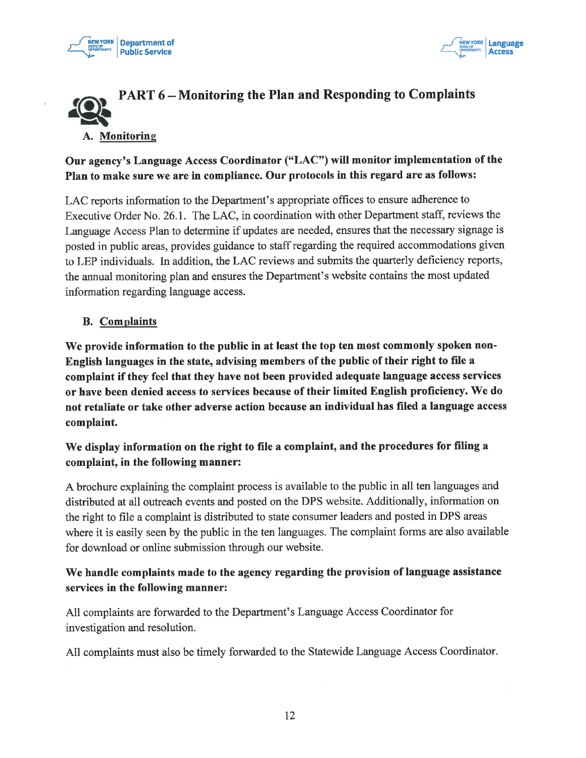





#### Our agency's Language Access Coordinator ("LAC") will monitor implementation of the Plan to make sure we are in compliance. Our protocols in this regard are as follows:

LAC reports information to the Department's appropriate offices to ensure adherence to Executive Order No. 26. 1. The LAC, in coordination with other Department staff, reviews the Language Access Plan to determine if updates are needed, ensures that the necessary signage is posted in public areas, provides guidance to staff regarding the required accommodations given to LEP individuals. In addition, the LAC reviews and submits the quarterly deficiency reports, the annual monitoring plan and ensures the Department's website contains the most updated information regarding language access.

#### **B.** Complaints

We provide information to the public in at least the top ten most commonly spoken non-English languages in the state, advising members of the public of their right to file a complaint if they feel that they have not been provided adequate language access services or have been denied access to services because of their limited English proficiency. We do not retaliate or take other adverse action because an individual has filed a language access complaint.

#### We display information on the right to file a complaint, and the procedures for filing a complaint, in the following manner:

A brochure explaining the complaint process is available to the public in all ten languages and distributed at all outreach events and posted on the DPS website. Additionally, information on the right to file a complaint is distributed to state consumer leaders and posted in DPS areas where it is easily seen by the public in the ten languages. The complaint forms are also available for download or online submission through our website.

#### We handle complaints made to the agency regarding the provision of language assistance services in the following manner:

All complaints are forwarded to the Department's Language Access Coordinator for investigation and resolution.

All complaints must also be timely forwarded to the Statewide Language Access Coordinator.